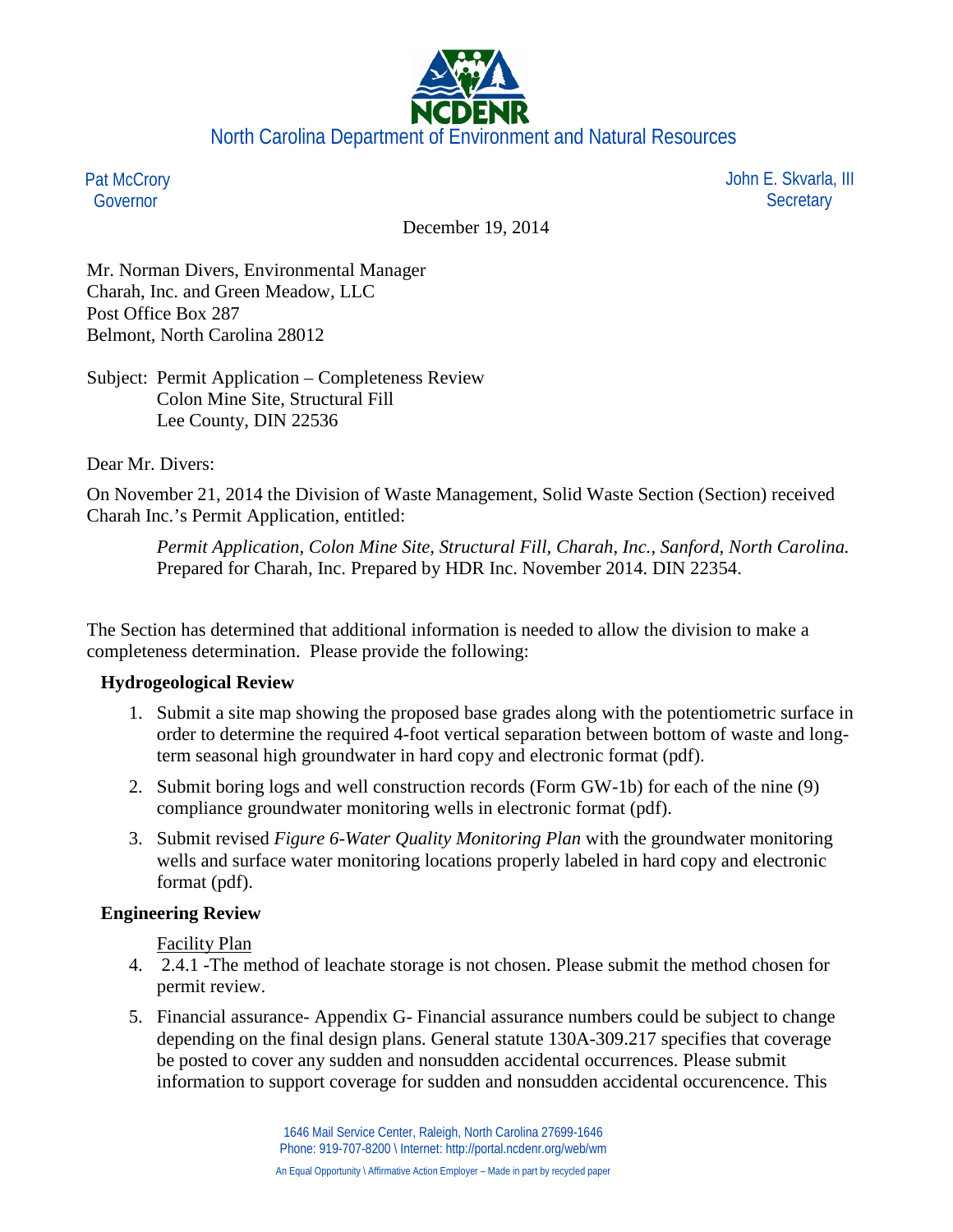

Pat McCrory Governor

 John E. Skvarla, III **Secretary** 

December 19, 2014

Mr. Norman Divers, Environmental Manager Charah, Inc. and Green Meadow, LLC Post Office Box 287 Belmont, North Carolina 28012

Subject: Permit Application – Completeness Review Colon Mine Site, Structural Fill Lee County, DIN 22536

Dear Mr. Divers:

On November 21, 2014 the Division of Waste Management, Solid Waste Section (Section) received Charah Inc.'s Permit Application, entitled:

*Permit Application, Colon Mine Site, Structural Fill, Charah, Inc., Sanford, North Carolina.* Prepared for Charah, Inc. Prepared by HDR Inc. November 2014. DIN 22354.

The Section has determined that additional information is needed to allow the division to make a completeness determination. Please provide the following:

### **Hydrogeological Review**

- 1. Submit a site map showing the proposed base grades along with the potentiometric surface in order to determine the required 4-foot vertical separation between bottom of waste and longterm seasonal high groundwater in hard copy and electronic format (pdf).
- 2. Submit boring logs and well construction records (Form GW-1b) for each of the nine (9) compliance groundwater monitoring wells in electronic format (pdf).
- 3. Submit revised *Figure 6-Water Quality Monitoring Plan* with the groundwater monitoring wells and surface water monitoring locations properly labeled in hard copy and electronic format (pdf).

# **Engineering Review**

Facility Plan

- 4. 2.4.1 -The method of leachate storage is not chosen. Please submit the method chosen for permit review.
- 5. Financial assurance- Appendix G- Financial assurance numbers could be subject to change depending on the final design plans. General statute 130A-309.217 specifies that coverage be posted to cover any sudden and nonsudden accidental occurrences. Please submit information to support coverage for sudden and nonsudden accidental occurencence. This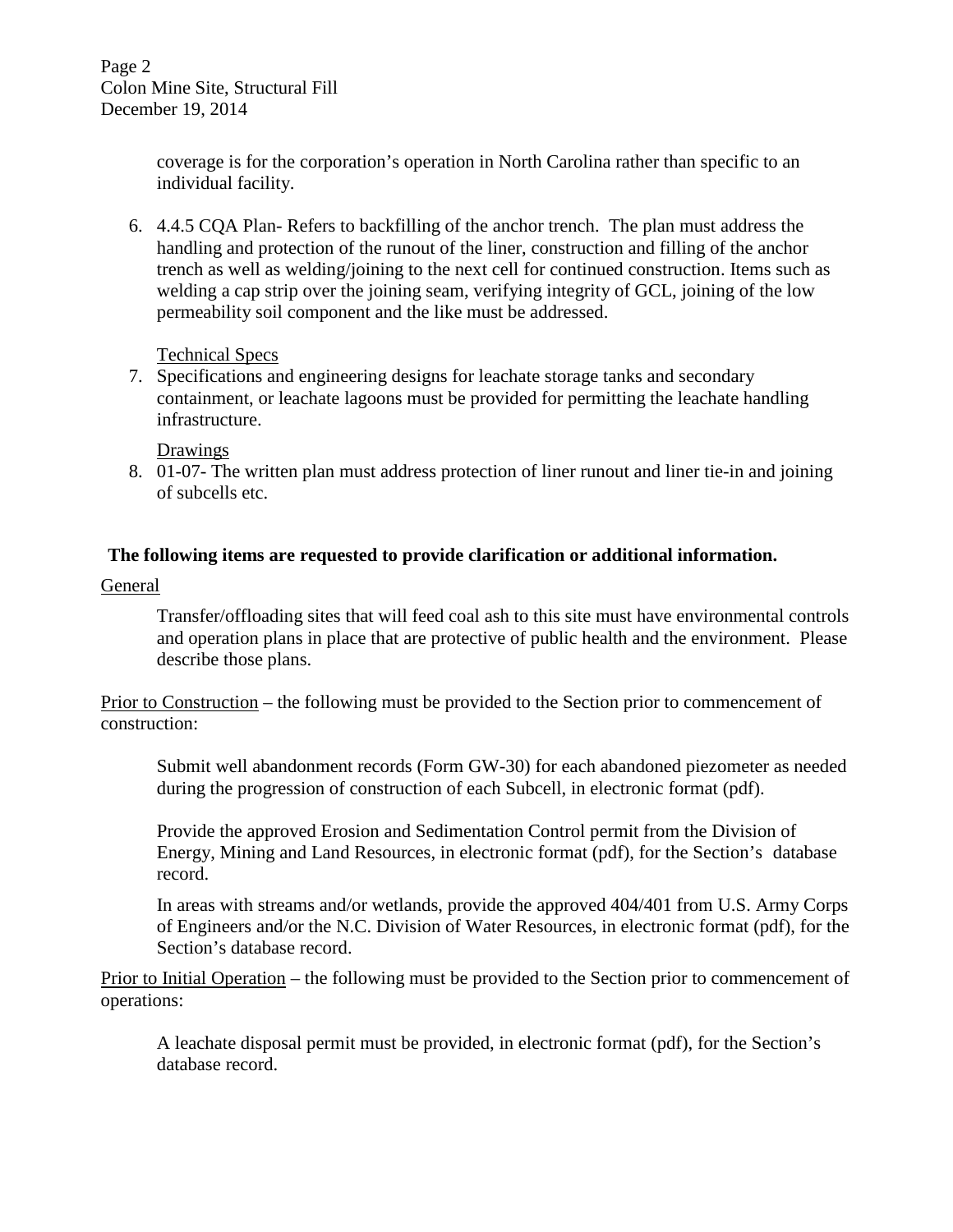Page 2 Colon Mine Site, Structural Fill December 19, 2014

> coverage is for the corporation's operation in North Carolina rather than specific to an individual facility.

6. 4.4.5 CQA Plan- Refers to backfilling of the anchor trench. The plan must address the handling and protection of the runout of the liner, construction and filling of the anchor trench as well as welding/joining to the next cell for continued construction. Items such as welding a cap strip over the joining seam, verifying integrity of GCL, joining of the low permeability soil component and the like must be addressed.

## Technical Specs

7. Specifications and engineering designs for leachate storage tanks and secondary containment, or leachate lagoons must be provided for permitting the leachate handling infrastructure.

## Drawings

8. 01-07- The written plan must address protection of liner runout and liner tie-in and joining of subcells etc.

## **The following items are requested to provide clarification or additional information.**

## General

Transfer/offloading sites that will feed coal ash to this site must have environmental controls and operation plans in place that are protective of public health and the environment. Please describe those plans.

Prior to Construction – the following must be provided to the Section prior to commencement of construction:

Submit well abandonment records (Form GW-30) for each abandoned piezometer as needed during the progression of construction of each Subcell, in electronic format (pdf).

Provide the approved Erosion and Sedimentation Control permit from the Division of Energy, Mining and Land Resources, in electronic format (pdf), for the Section's database record.

In areas with streams and/or wetlands, provide the approved 404/401 from U.S. Army Corps of Engineers and/or the N.C. Division of Water Resources, in electronic format (pdf), for the Section's database record.

Prior to Initial Operation – the following must be provided to the Section prior to commencement of operations:

A leachate disposal permit must be provided, in electronic format (pdf), for the Section's database record.